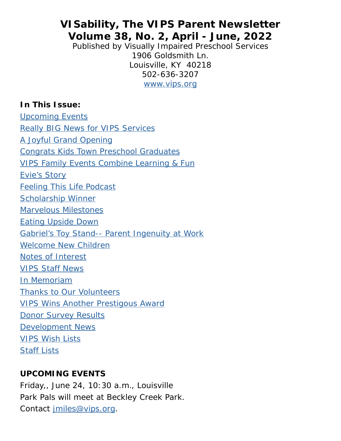# **VISability, The VIPS Parent Newsletter Volume 38, No. 2, April - June, 2022**

Published by Visually Impaired Preschool Services 1906 Goldsmith Ln. Louisville, KY 40218 502-636-3207 [www.vips.org](mailto:https://www.vips.org?subject=)

### <span id="page-0-1"></span>**In This Issue:**

<span id="page-0-0"></span>[Upcoming Events](#page-0-0) [Really BIG News for VIPS Services](#page-2-0) [A Joyful Grand Opening](#page-5-0) [Congrats Kids Town Preschool Graduates](#page-6-0) [VIPS Family Events Combine Learning & Fun](#page-8-0) Evie's Story [Feeling This Life Podcast](#page-14-0) [Scholarship Winner](#page-15-0) [Marvelous Milestones](#page-16-0) Eating Upside Down Gabriel's Toy Stand-- Parent Ingenuity at Work [Welcome New Children](#page-25-0) [Notes of Interest](#page-27-0) [VIPS Staff News](#page-29-0) [In Memoriam](#page-31-0) [Thanks to Our Volunteers](#page-32-0) [VIPS Wins Another Prestigous Award](#page-35-0) [Donor Survey Results](#page-35-1) [Development News](#page-37-0) [VIPS Wish Lists](#page-40-0) [Staff Lists](#page-42-0)

### **UPCOMING EVENTS**

Friday,, June 24, 10:30 a.m., Louisville Park Pals will meet at Beckley Creek Park. Contact [jmiles@vips.org.](mailto:jmiles%40vips.org?subject=)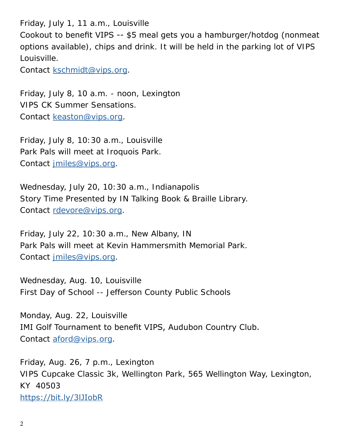Friday, July 1, 11 a.m., Louisville Cookout to benefit VIPS -- \$5 meal gets you a hamburger/hotdog (nonmeat options available), chips and drink. It will be held in the parking lot of VIPS Louisville.

Contact [kschmidt@vips.org.](mailto:kschmidt%40vips.org?subject=)

Friday, July 8, 10 a.m. - noon, Lexington VIPS CK Summer Sensations. Contact [keaston@vips.org](mailto:keaston%40vips.org?subject=).

Friday, July 8, 10:30 a.m., Louisville Park Pals will meet at Iroquois Park. Contact [jmiles@vips.org.](mailto:jmiles%40vips.org?subject=)

Wednesday, July 20, 10:30 a.m., Indianapolis Story Time Presented by IN Talking Book & Braille Library. Contact [rdevore@vips.org](mailto:rdevore%40vips.org?subject=).

Friday, July 22, 10:30 a.m., New Albany, IN Park Pals will meet at Kevin Hammersmith Memorial Park. Contact [jmiles@vips.org.](mailto:jmiles%40vips.org?subject=)

Wednesday, Aug. 10, Louisville First Day of School -- Jefferson County Public Schools

Monday, Aug. 22, Louisville IMI Golf Tournament to benefit VIPS, Audubon Country Club. Contact [aford@vips.org.](mailto:aford%40vips.org?subject=)

Friday, Aug. 26, 7 p.m., Lexington VIPS Cupcake Classic 3k, Wellington Park, 565 Wellington Way, Lexington, KY 40503 <https://bit.ly/3lJIobR>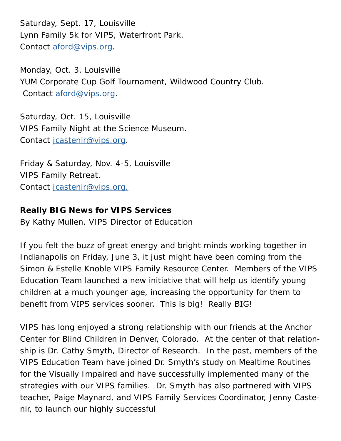Saturday, Sept. 17, Louisville Lynn Family 5k for VIPS, Waterfront Park. Contact [aford@vips.org.](mailto:aford%40vips.org?subject=)

Monday, Oct. 3, Louisville YUM Corporate Cup Golf Tournament, Wildwood Country Club. Contact [aford@vips.org.](mailto:aford%40vips.org?subject=)

Saturday, Oct. 15, Louisville VIPS Family Night at the Science Museum. Contact [jcastenir@vips.org.](mailto:jcastenir%40vips.org?subject=)

Friday & Saturday, Nov. 4-5, Louisville VIPS Family Retreat. Contact [jcastenir@vips.org.](mailto:jcastenir%40vips.org?subject=)

## <span id="page-2-0"></span>**Really BIG News for VIPS Services**

By Kathy Mullen, VIPS Director of Education

If you felt the buzz of great energy and bright minds working together in Indianapolis on Friday, June 3, it just might have been coming from the Simon & Estelle Knoble VIPS Family Resource Center. Members of the VIPS Education Team launched a new initiative that will help us identify young children at a much younger age, increasing the opportunity for them to benefit from VIPS services sooner. This is big! Really BIG!

VIPS has long enjoyed a strong relationship with our friends at the Anchor Center for Blind Children in Denver, Colorado. At the center of that relationship is Dr. Cathy Smyth, Director of Research. In the past, members of the VIPS Education Team have joined Dr. Smyth's study on Mealtime Routines for the Visually Impaired and have successfully implemented many of the strategies with our VIPS families. Dr. Smyth has also partnered with VIPS teacher, Paige Maynard, and VIPS Family Services Coordinator, Jenny Castenir, to launch our highly successful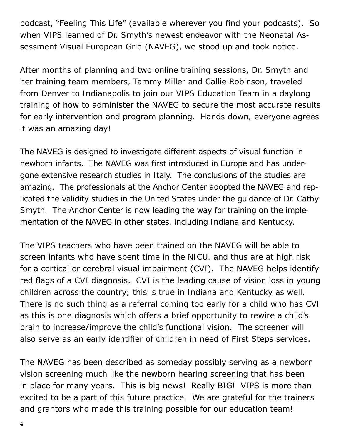podcast, "Feeling This Life" (available wherever you find your podcasts). So when VIPS learned of Dr. Smyth's newest endeavor with the Neonatal Assessment Visual European Grid (NAVEG), we stood up and took notice.

After months of planning and two online training sessions, Dr. Smyth and her training team members, Tammy Miller and Callie Robinson, traveled from Denver to Indianapolis to join our VIPS Education Team in a daylong training of how to administer the NAVEG to secure the most accurate results for early intervention and program planning. Hands down, everyone agrees it was an amazing day!

The NAVEG is designed to investigate different aspects of visual function in newborn infants. The NAVEG was first introduced in Europe and has undergone extensive research studies in Italy. The conclusions of the studies are amazing. The professionals at the Anchor Center adopted the NAVEG and replicated the validity studies in the United States under the guidance of Dr. Cathy Smyth. The Anchor Center is now leading the way for training on the implementation of the NAVEG in other states, including Indiana and Kentucky.

The VIPS teachers who have been trained on the NAVEG will be able to screen infants who have spent time in the NICU, and thus are at high risk for a cortical or cerebral visual impairment (CVI). The NAVEG helps identify red flags of a CVI diagnosis. CVI is the leading cause of vision loss in young children across the country; this is true in Indiana and Kentucky as well. There is no such thing as a referral coming too early for a child who has CVI as this is one diagnosis which offers a brief opportunity to rewire a child's brain to increase/improve the child's functional vision. The screener will also serve as an early identifier of children in need of First Steps services.

The NAVEG has been described as someday possibly serving as a newborn vision screening much like the newborn hearing screening that has been in place for many years. This is big news! Really BIG! VIPS is more than excited to be a part of this future practice. We are grateful for the trainers and grantors who made this training possible for our education team!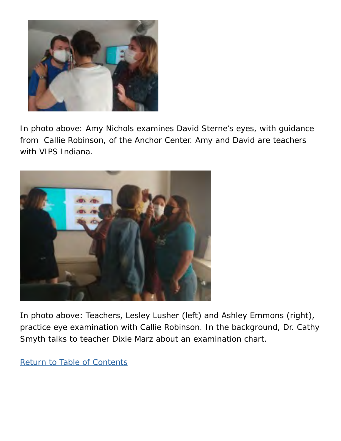

In photo above: Amy Nichols examines David Sterne's eyes, with guidance from Callie Robinson, of the Anchor Center. Amy and David are teachers with VIPS Indiana.



In photo above: Teachers, Lesley Lusher (left) and Ashley Emmons (right), practice eye examination with Callie Robinson. In the background, Dr. Cathy Smyth talks to teacher Dixie Marz about an examination chart.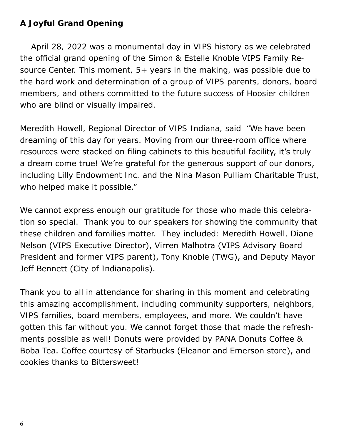### <span id="page-5-0"></span>**A Joyful Grand Opening**

 April 28, 2022 was a monumental day in VIPS history as we celebrated the official grand opening of the Simon & Estelle Knoble VIPS Family Resource Center. This moment,  $5+$  years in the making, was possible due to the hard work and determination of a group of VIPS parents, donors, board members, and others committed to the future success of Hoosier children who are blind or visually impaired.

Meredith Howell, Regional Director of VIPS Indiana, said "We have been dreaming of this day for years. Moving from our three-room office where resources were stacked on filing cabinets to this beautiful facility, it's truly a dream come true! We're grateful for the generous support of our donors, including Lilly Endowment Inc. and the Nina Mason Pulliam Charitable Trust, who helped make it possible."

We cannot express enough our gratitude for those who made this celebration so special. Thank you to our speakers for showing the community that these children and families matter. They included: Meredith Howell, Diane Nelson (VIPS Executive Director), Virren Malhotra (VIPS Advisory Board President and former VIPS parent), Tony Knoble (TWG), and Deputy Mayor Jeff Bennett (City of Indianapolis).

Thank you to all in attendance for sharing in this moment and celebrating this amazing accomplishment, including community supporters, neighbors, VIPS families, board members, employees, and more. We couldn't have gotten this far without you. We cannot forget those that made the refreshments possible as well! Donuts were provided by PANA Donuts Coffee & Boba Tea. Coffee courtesy of Starbucks (Eleanor and Emerson store), and cookies thanks to Bittersweet!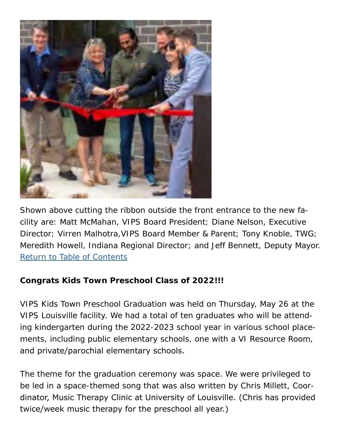

Shown above cutting the ribbon outside the front entrance to the new facility are: Matt McMahan, VIPS Board President; Diane Nelson, Executive Director; Virren Malhotra,VIPS Board Member & Parent; Tony Knoble, TWG; Meredith Howell, Indiana Regional Director; and Jeff Bennett, Deputy Mayor. [Return to Table of Contents](#page-0-1)

### <span id="page-6-0"></span>**Congrats Kids Town Preschool Class of 2022!!!**

VIPS Kids Town Preschool Graduation was held on Thursday, May 26 at the VIPS Louisville facility. We had a total of ten graduates who will be attending kindergarten during the 2022-2023 school year in various school placements, including public elementary schools, one with a VI Resource Room, and private/parochial elementary schools.

The theme for the graduation ceremony was space. We were privileged to be led in a space-themed song that was also written by Chris Millett, Coordinator, Music Therapy Clinic at University of Louisville. (Chris has provided twice/week music therapy for the preschool all year.)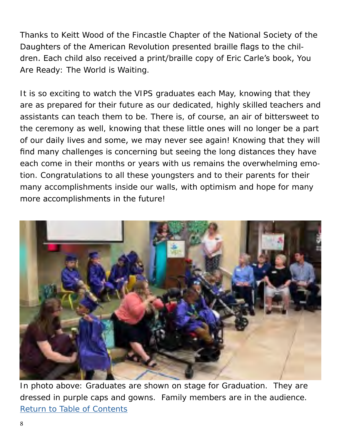Thanks to Keitt Wood of the Fincastle Chapter of the National Society of the Daughters of the American Revolution presented braille flags to the children. Each child also received a print/braille copy of Eric Carle's book, You Are Ready: The World is Waiting.

It is so exciting to watch the VIPS graduates each May, knowing that they are as prepared for their future as our dedicated, highly skilled teachers and assistants can teach them to be. There is, of course, an air of bittersweet to the ceremony as well, knowing that these little ones will no longer be a part of our daily lives and some, we may never see again! Knowing that they will find many challenges is concerning but seeing the long distances they have each come in their months or years with us remains the overwhelming emotion. Congratulations to all these youngsters and to their parents for their many accomplishments inside our walls, with optimism and hope for many more accomplishments in the future!



In photo above: Graduates are shown on stage for Graduation. They are dressed in purple caps and gowns. Family members are in the audience. [Return to Table of Contents](#page-0-1)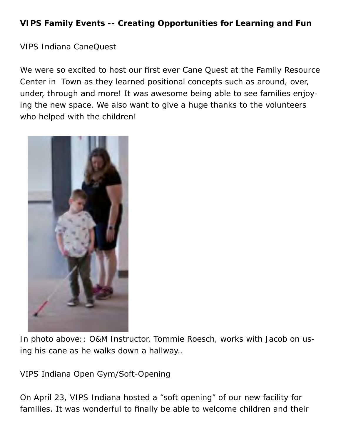## <span id="page-8-0"></span>**VIPS Family Events -- Creating Opportunities for Learning and Fun**

VIPS Indiana CaneQuest

We were so excited to host our first ever Cane Quest at the Family Resource Center in Town as they learned positional concepts such as around, over, under, through and more! It was awesome being able to see families enjoying the new space. We also want to give a huge thanks to the volunteers who helped with the children!



In photo above:: O&M Instructor, Tommie Roesch, works with Jacob on using his cane as he walks down a hallway..

VIPS Indiana Open Gym/Soft-Opening

On April 23, VIPS Indiana hosted a "soft opening" of our new facility for families. It was wonderful to finally be able to welcome children and their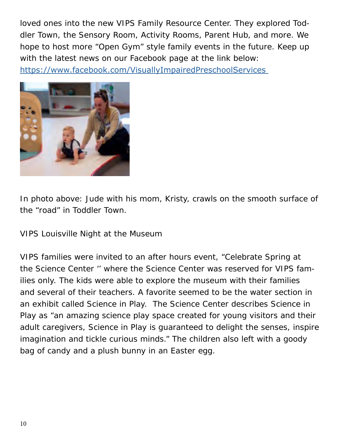loved ones into the new VIPS Family Resource Center. They explored Toddler Town, the Sensory Room, Activity Rooms, Parent Hub, and more. We hope to host more "Open Gym" style family events in the future. Keep up with the latest news on our Facebook page at the link below: [https://www.facebook.com/VisuallyImpairedPreschoolServices](https://www.facebook.com/VisuallyImpairedPreschoolServices ) 



In photo above: Jude with his mom, Kristy, crawls on the smooth surface of the "road" in Toddler Town.

VIPS Louisville Night at the Museum

VIPS families were invited to an after hours event, "Celebrate Spring at the Science Center '' where the Science Center was reserved for VIPS families only. The kids were able to explore the museum with their families and several of their teachers. A favorite seemed to be the water section in an exhibit called Science in Play. The Science Center describes Science in Play as "an amazing science play space created for young visitors and their adult caregivers, Science in Play is guaranteed to delight the senses, inspire imagination and tickle curious minds." The children also left with a goody bag of candy and a plush bunny in an Easter egg.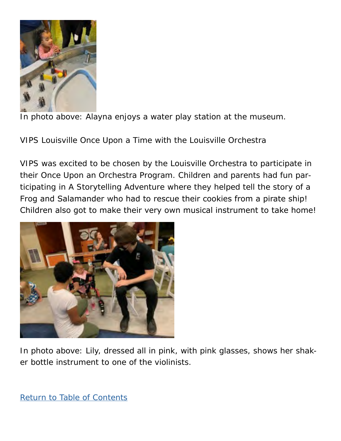

In photo above: Alayna enjoys a water play station at the museum.

VIPS Louisville Once Upon a Time with the Louisville Orchestra

VIPS was excited to be chosen by the Louisville Orchestra to participate in their Once Upon an Orchestra Program. Children and parents had fun participating in A Storytelling Adventure where they helped tell the story of a Frog and Salamander who had to rescue their cookies from a pirate ship! Children also got to make their very own musical instrument to take home!



In photo above: Lily, dressed all in pink, with pink glasses, shows her shaker bottle instrument to one of the violinists.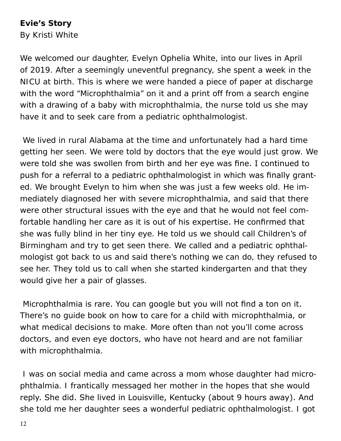#### **Evie's Story**

By Kristi White

We welcomed our daughter, Evelyn Ophelia White, into our lives in April of 2019. After a seemingly uneventful pregnancy, she spent a week in the NICU at birth. This is where we were handed a piece of paper at discharge with the word "Microphthalmia" on it and a print off from a search engine with a drawing of a baby with microphthalmia, the nurse told us she may have it and to seek care from a pediatric ophthalmologist.

 We lived in rural Alabama at the time and unfortunately had a hard time getting her seen. We were told by doctors that the eye would just grow. We were told she was swollen from birth and her eye was fine. I continued to push for a referral to a pediatric ophthalmologist in which was finally granted. We brought Evelyn to him when she was just a few weeks old. He immediately diagnosed her with severe microphthalmia, and said that there were other structural issues with the eye and that he would not feel comfortable handling her care as it is out of his expertise. He confirmed that she was fully blind in her tiny eye. He told us we should call Children's of Birmingham and try to get seen there. We called and a pediatric ophthalmologist got back to us and said there's nothing we can do, they refused to see her. They told us to call when she started kindergarten and that they would give her a pair of glasses.

 Microphthalmia is rare. You can google but you will not find a ton on it. There's no guide book on how to care for a child with microphthalmia, or what medical decisions to make. More often than not you'll come across doctors, and even eye doctors, who have not heard and are not familiar with microphthalmia.

 I was on social media and came across a mom whose daughter had microphthalmia. I frantically messaged her mother in the hopes that she would reply. She did. She lived in Louisville, Kentucky (about 9 hours away). And she told me her daughter sees a wonderful pediatric ophthalmologist. I got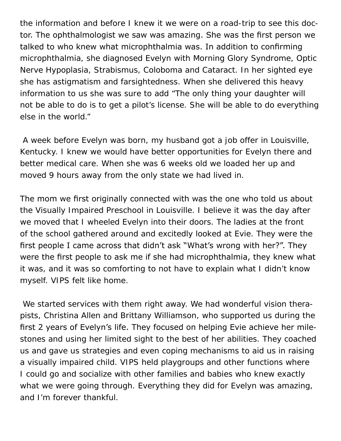the information and before I knew it we were on a road-trip to see this doctor. The ophthalmologist we saw was amazing. She was the first person we talked to who knew what microphthalmia was. In addition to confirming microphthalmia, she diagnosed Evelyn with Morning Glory Syndrome, Optic Nerve Hypoplasia, Strabismus, Coloboma and Cataract. In her sighted eye she has astigmatism and farsightedness. When she delivered this heavy information to us she was sure to add "The only thing your daughter will not be able to do is to get a pilot's license. She will be able to do everything else in the world."

 A week before Evelyn was born, my husband got a job offer in Louisville, Kentucky. I knew we would have better opportunities for Evelyn there and better medical care. When she was 6 weeks old we loaded her up and moved 9 hours away from the only state we had lived in.

The mom we first originally connected with was the one who told us about the Visually Impaired Preschool in Louisville. I believe it was the day after we moved that I wheeled Evelyn into their doors. The ladies at the front of the school gathered around and excitedly looked at Evie. They were the first people I came across that didn't ask "What's wrong with her?". They were the first people to ask me if she had microphthalmia, they knew what it was, and it was so comforting to not have to explain what I didn't know myself. VIPS felt like home.

 We started services with them right away. We had wonderful vision therapists, Christina Allen and Brittany Williamson, who supported us during the first 2 years of Evelyn's life. They focused on helping Evie achieve her milestones and using her limited sight to the best of her abilities. They coached us and gave us strategies and even coping mechanisms to aid us in raising a visually impaired child. VIPS held playgroups and other functions where I could go and socialize with other families and babies who knew exactly what we were going through. Everything they did for Evelyn was amazing, and I'm forever thankful.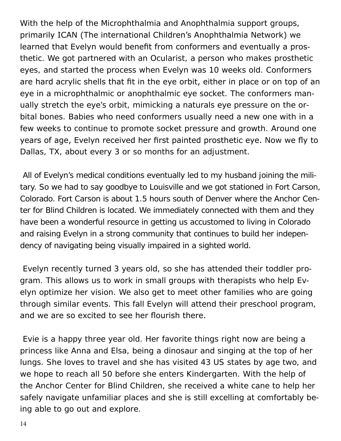With the help of the Microphthalmia and Anophthalmia support groups, primarily ICAN (The international Children's Anophthalmia Network) we learned that Evelyn would benefit from conformers and eventually a prosthetic. We got partnered with an Ocularist, a person who makes prosthetic eyes, and started the process when Evelyn was 10 weeks old. Conformers are hard acrylic shells that fit in the eye orbit, either in place or on top of an eye in a microphthalmic or anophthalmic eye socket. The conformers manually stretch the eye's orbit, mimicking a naturals eye pressure on the orbital bones. Babies who need conformers usually need a new one with in a few weeks to continue to promote socket pressure and growth. Around one years of age, Evelyn received her first painted prosthetic eye. Now we fly to Dallas, TX, about every 3 or so months for an adjustment.

 All of Evelyn's medical conditions eventually led to my husband joining the military. So we had to say goodbye to Louisville and we got stationed in Fort Carson, Colorado. Fort Carson is about 1.5 hours south of Denver where the Anchor Center for Blind Children is located. We immediately connected with them and they have been a wonderful resource in getting us accustomed to living in Colorado and raising Evelyn in a strong community that continues to build her independency of navigating being visually impaired in a sighted world.

 Evelyn recently turned 3 years old, so she has attended their toddler program. This allows us to work in small groups with therapists who help Evelyn optimize her vision. We also get to meet other families who are going through similar events. This fall Evelyn will attend their preschool program, and we are so excited to see her flourish there.

 Evie is a happy three year old. Her favorite things right now are being a princess like Anna and Elsa, being a dinosaur and singing at the top of her lungs. She loves to travel and she has visited 43 US states by age two, and we hope to reach all 50 before she enters Kindergarten. With the help of the Anchor Center for Blind Children, she received a white cane to help her safely navigate unfamiliar places and she is still excelling at comfortably being able to go out and explore.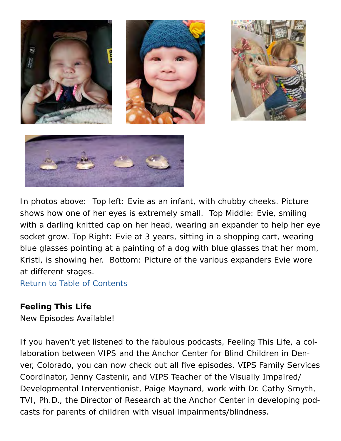

In photos above: Top left: Evie as an infant, with chubby cheeks. Picture shows how one of her eyes is extremely small. Top Middle: Evie, smiling with a darling knitted cap on her head, wearing an expander to help her eye socket grow. Top Right: Evie at 3 years, sitting in a shopping cart, wearing blue glasses pointing at a painting of a dog with blue glasses that her mom, Kristi, is showing her. Bottom: Picture of the various expanders Evie wore at different stages.

[Return to Table of Contents](#page-0-1)

### <span id="page-14-0"></span>**Feeling This Life**

New Episodes Available!

If you haven't yet listened to the fabulous podcasts, Feeling This Life, a collaboration between VIPS and the Anchor Center for Blind Children in Denver, Colorado, you can now check out all five episodes. VIPS Family Services Coordinator, Jenny Castenir, and VIPS Teacher of the Visually Impaired/ Developmental Interventionist, Paige Maynard, work with Dr. Cathy Smyth, TVI, Ph.D., the Director of Research at the Anchor Center in developing podcasts for parents of children with visual impairments/blindness.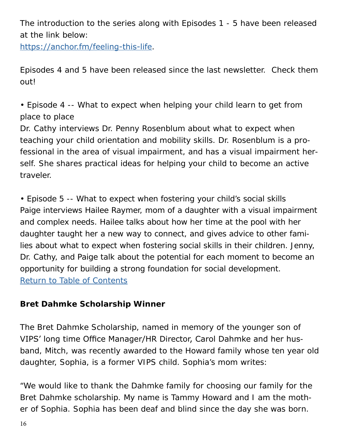The introduction to the series along with Episodes 1 - 5 have been released at the link below:

<https://anchor.fm/feeling-this-life>.

Episodes 4 and 5 have been released since the last newsletter. Check them out!

• Episode 4 -- What to expect when helping your child learn to get from place to place

Dr. Cathy interviews Dr. Penny Rosenblum about what to expect when teaching your child orientation and mobility skills. Dr. Rosenblum is a professional in the area of visual impairment, and has a visual impairment herself. She shares practical ideas for helping your child to become an active traveler.

• Episode 5 -- What to expect when fostering your child's social skills Paige interviews Hailee Raymer, mom of a daughter with a visual impairment and complex needs. Hailee talks about how her time at the pool with her daughter taught her a new way to connect, and gives advice to other families about what to expect when fostering social skills in their children. Jenny, Dr. Cathy, and Paige talk about the potential for each moment to become an opportunity for building a strong foundation for social development. [Return to Table of Contents](#page-0-1)

### <span id="page-15-0"></span>**Bret Dahmke Scholarship Winner**

The Bret Dahmke Scholarship, named in memory of the younger son of VIPS' long time Office Manager/HR Director, Carol Dahmke and her husband, Mitch, was recently awarded to the Howard family whose ten year old daughter, Sophia, is a former VIPS child. Sophia's mom writes:

"We would like to thank the Dahmke family for choosing our family for the Bret Dahmke scholarship. My name is Tammy Howard and I am the mother of Sophia. Sophia has been deaf and blind since the day she was born.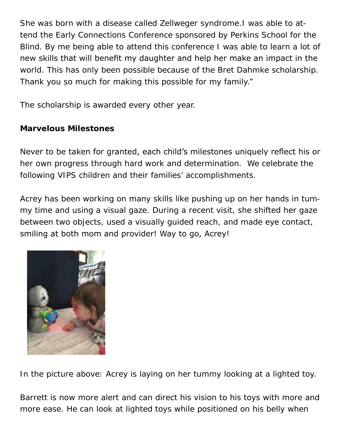She was born with a disease called Zellweger syndrome.I was able to attend the Early Connections Conference sponsored by Perkins School for the Blind. By me being able to attend this conference I was able to learn a lot of new skills that will benefit my daughter and help her make an impact in the world. This has only been possible because of the Bret Dahmke scholarship. Thank you so much for making this possible for my family."

The scholarship is awarded every other year.

## <span id="page-16-0"></span>**Marvelous Milestones**

Never to be taken for granted, each child's milestones uniquely reflect his or her own progress through hard work and determination. We celebrate the following VIPS children and their families' accomplishments.

Acrey has been working on many skills like pushing up on her hands in tummy time and using a visual gaze. During a recent visit, she shifted her gaze between two objects, used a visually guided reach, and made eye contact, smiling at both mom and provider! Way to go, Acrey!



In the picture above: Acrey is laying on her tummy looking at a lighted toy.

Barrett is now more alert and can direct his vision to his toys with more and more ease. He can look at lighted toys while positioned on his belly when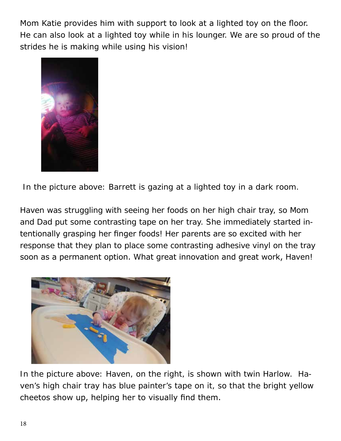Mom Katie provides him with support to look at a lighted toy on the floor. He can also look at a lighted toy while in his lounger. We are so proud of the strides he is making while using his vision!



In the picture above: Barrett is gazing at a lighted toy in a dark room.

Haven was struggling with seeing her foods on her high chair tray, so Mom and Dad put some contrasting tape on her tray. She immediately started intentionally grasping her finger foods! Her parents are so excited with her response that they plan to place some contrasting adhesive vinyl on the tray soon as a permanent option. What great innovation and great work, Haven!



In the picture above: Haven, on the right, is shown with twin Harlow. Haven's high chair tray has blue painter's tape on it, so that the bright yellow cheetos show up, helping her to visually find them.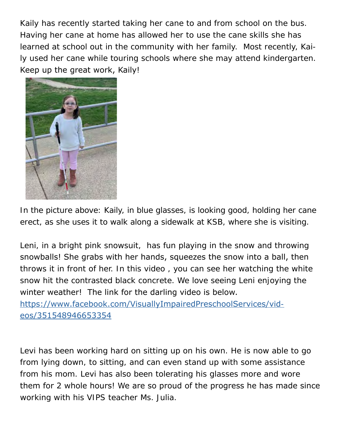Kaily has recently started taking her cane to and from school on the bus. Having her cane at home has allowed her to use the cane skills she has learned at school out in the community with her family. Most recently, Kaily used her cane while touring schools where she may attend kindergarten. Keep up the great work, Kaily!



In the picture above: Kaily, in blue glasses, is looking good, holding her cane erect, as she uses it to walk along a sidewalk at KSB, where she is visiting.

Leni, in a bright pink snowsuit, has fun playing in the snow and throwing snowballs! She grabs with her hands, squeezes the snow into a ball, then throws it in front of her. In this video , you can see her watching the white snow hit the contrasted black concrete. We love seeing Leni enjoying the winter weather! The link for the darling video is below. [https://www.facebook.com/VisuallyImpairedPreschoolServices/vid](https://www.facebook.com/VisuallyImpairedPreschoolServices/videos/351548946653354)-

[eos/351548946653354](https://www.facebook.com/VisuallyImpairedPreschoolServices/videos/351548946653354)

Levi has been working hard on sitting up on his own. He is now able to go from lying down, to sitting, and can even stand up with some assistance from his mom. Levi has also been tolerating his glasses more and wore them for 2 whole hours! We are so proud of the progress he has made since working with his VIPS teacher Ms. Julia.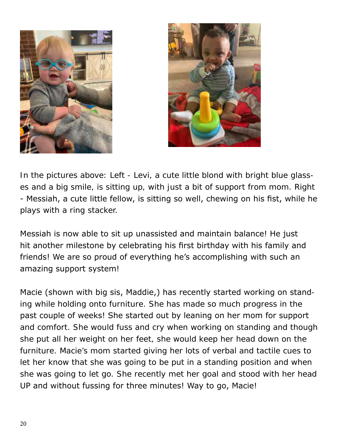



In the pictures above: Left - Levi, a cute little blond with bright blue glasses and a big smile, is sitting up, with just a bit of support from mom. Right - Messiah, a cute little fellow, is sitting so well, chewing on his fist, while he plays with a ring stacker.

Messiah is now able to sit up unassisted and maintain balance! He just hit another milestone by celebrating his first birthday with his family and friends! We are so proud of everything he's accomplishing with such an amazing support system!

Macie (shown with big sis, Maddie,) has recently started working on standing while holding onto furniture. She has made so much progress in the past couple of weeks! She started out by leaning on her mom for support and comfort. She would fuss and cry when working on standing and though she put all her weight on her feet, she would keep her head down on the furniture. Macie's mom started giving her lots of verbal and tactile cues to let her know that she was going to be put in a standing position and when she was going to let go. She recently met her goal and stood with her head UP and without fussing for three minutes! Way to go, Macie!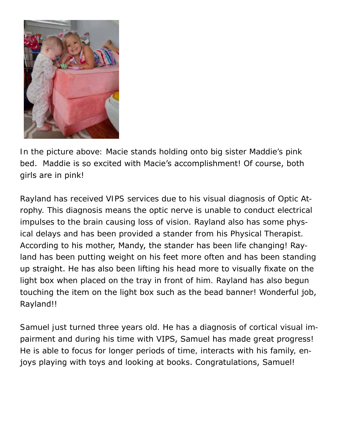

In the picture above: Macie stands holding onto big sister Maddie's pink bed. Maddie is so excited with Macie's accomplishment! Of course, both girls are in pink!

Rayland has received VIPS services due to his visual diagnosis of Optic Atrophy. This diagnosis means the optic nerve is unable to conduct electrical impulses to the brain causing loss of vision. Rayland also has some physical delays and has been provided a stander from his Physical Therapist. According to his mother, Mandy, the stander has been life changing! Rayland has been putting weight on his feet more often and has been standing up straight. He has also been lifting his head more to visually fixate on the light box when placed on the tray in front of him. Rayland has also begun touching the item on the light box such as the bead banner! Wonderful job, Rayland!!

Samuel just turned three years old. He has a diagnosis of cortical visual impairment and during his time with VIPS, Samuel has made great progress! He is able to focus for longer periods of time, interacts with his family, enjoys playing with toys and looking at books. Congratulations, Samuel!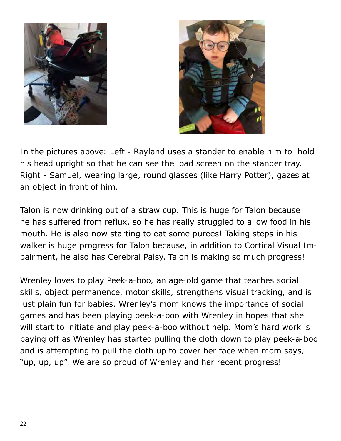



In the pictures above: Left - Rayland uses a stander to enable him to hold his head upright so that he can see the ipad screen on the stander tray. Right - Samuel, wearing large, round glasses (like Harry Potter), gazes at an object in front of him.

Talon is now drinking out of a straw cup. This is huge for Talon because he has suffered from reflux, so he has really struggled to allow food in his mouth. He is also now starting to eat some purees! Taking steps in his walker is huge progress for Talon because, in addition to Cortical Visual Impairment, he also has Cerebral Palsy. Talon is making so much progress!

Wrenley loves to play Peek-a-boo, an age-old game that teaches social skills, object permanence, motor skills, strengthens visual tracking, and is just plain fun for babies. Wrenley's mom knows the importance of social games and has been playing peek-a-boo with Wrenley in hopes that she will start to initiate and play peek-a-boo without help. Mom's hard work is paying off as Wrenley has started pulling the cloth down to play peek-a-boo and is attempting to pull the cloth up to cover her face when mom says, "up, up, up". We are so proud of Wrenley and her recent progress!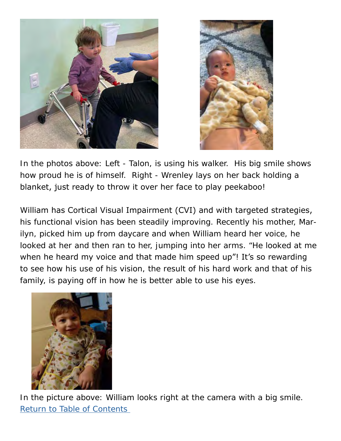



In the photos above: Left - Talon, is using his walker. His big smile shows how proud he is of himself. Right - Wrenley lays on her back holding a blanket, just ready to throw it over her face to play peekaboo!

William has Cortical Visual Impairment (CVI) and with targeted strategies, his functional vision has been steadily improving. Recently his mother, Marilyn, picked him up from daycare and when William heard her voice, he looked at her and then ran to her, jumping into her arms. "He looked at me when he heard my voice and that made him speed up"! It's so rewarding to see how his use of his vision, the result of his hard work and that of his family, is paying off in how he is better able to use his eyes.



In the picture above: William looks right at the camera with a big smile. [Return to Table of Contents](#page-0-1)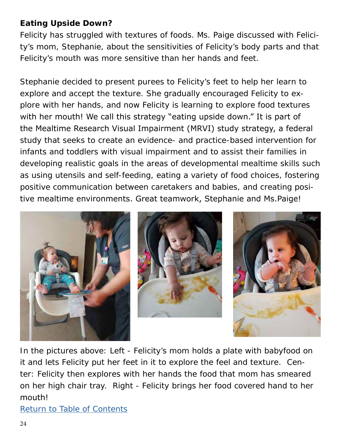## **Eating Upside Down?**

Felicity has struggled with textures of foods. Ms. Paige discussed with Felicity's mom, Stephanie, about the sensitivities of Felicity's body parts and that Felicity's mouth was more sensitive than her hands and feet.

Stephanie decided to present purees to Felicity's feet to help her learn to explore and accept the texture. She gradually encouraged Felicity to explore with her hands, and now Felicity is learning to explore food textures with her mouth! We call this strategy "eating upside down." It is part of the Mealtime Research Visual Impairment (MRVI) study strategy, a federal study that seeks to create an evidence- and practice-based intervention for infants and toddlers with visual impairment and to assist their families in developing realistic goals in the areas of developmental mealtime skills such as using utensils and self-feeding, eating a variety of food choices, fostering positive communication between caretakers and babies, and creating positive mealtime environments. Great teamwork, Stephanie and Ms.Paige!



In the pictures above: Left - Felicity's mom holds a plate with babyfood on it and lets Felicity put her feet in it to explore the feel and texture. Center: Felicity then explores with her hands the food that mom has smeared on her high chair tray. Right - Felicity brings her food covered hand to her mouth!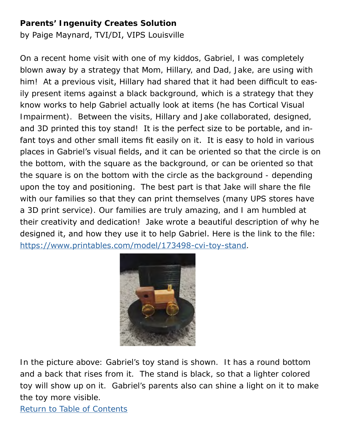### **Parents' Ingenuity Creates Solution**

by Paige Maynard, TVI/DI, VIPS Louisville

On a recent home visit with one of my kiddos, Gabriel, I was completely blown away by a strategy that Mom, Hillary, and Dad, Jake, are using with him! At a previous visit, Hillary had shared that it had been difficult to easily present items against a black background, which is a strategy that they know works to help Gabriel actually look at items (he has Cortical Visual Impairment). Between the visits, Hillary and Jake collaborated, designed, and 3D printed this toy stand! It is the perfect size to be portable, and infant toys and other small items fit easily on it. It is easy to hold in various places in Gabriel's visual fields, and it can be oriented so that the circle is on the bottom, with the square as the background, or can be oriented so that the square is on the bottom with the circle as the background - depending upon the toy and positioning. The best part is that Jake will share the file with our families so that they can print themselves (many UPS stores have a 3D print service). Our families are truly amazing, and I am humbled at their creativity and dedication! Jake wrote a beautiful description of why he designed it, and how they use it to help Gabriel. Here is the link to the file: <https://www.printables.com/model/173498-cvi-toy-stand>.



In the picture above: Gabriel's toy stand is shown. It has a round bottom and a back that rises from it. The stand is black, so that a lighter colored toy will show up on it. Gabriel's parents also can shine a light on it to make the toy more visible.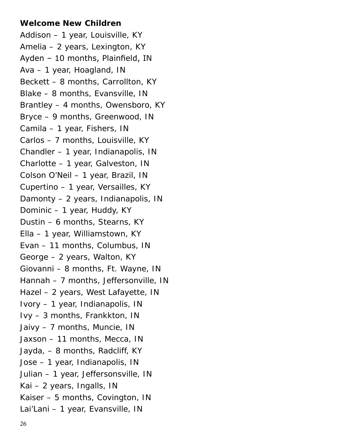#### <span id="page-25-0"></span>**Welcome New Children**

Addison – 1 year, Louisville, KY Amelia – 2 years, Lexington, KY Ayden – 10 months, Plainfield, IN Ava – 1 year, Hoagland, IN Beckett – 8 months, Carrollton, KY Blake – 8 months, Evansville, IN Brantley – 4 months, Owensboro, KY Bryce – 9 months, Greenwood, IN Camila – 1 year, Fishers, IN Carlos – 7 months, Louisville, KY Chandler – 1 year, Indianapolis, IN Charlotte – 1 year, Galveston, IN Colson O'Neil – 1 year, Brazil, IN Cupertino – 1 year, Versailles, KY Damonty – 2 years, Indianapolis, IN Dominic – 1 year, Huddy, KY Dustin – 6 months, Stearns, KY Ella – 1 year, Williamstown, KY Evan – 11 months, Columbus, IN George – 2 years, Walton, KY Giovanni – 8 months, Ft. Wayne, IN Hannah – 7 months, Jeffersonville, IN Hazel – 2 years, West Lafayette, IN Ivory – 1 year, Indianapolis, IN Ivy – 3 months, Frankkton, IN Jaivy – 7 months, Muncie, IN Jaxson – 11 months, Mecca, IN Jayda, – 8 months, Radcliff, KY Jose – 1 year, Indianapolis, IN Julian – 1 year, Jeffersonsville, IN Kai – 2 years, Ingalls, IN Kaiser – 5 months, Covington, IN Lai'Lani – 1 year, Evansville, IN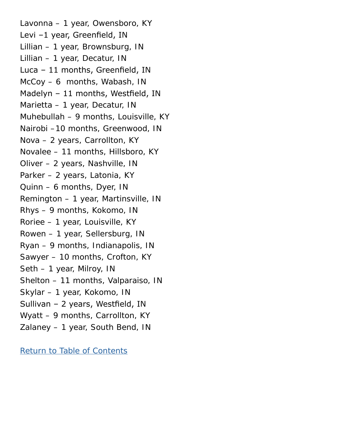Lavonna – 1 year, Owensboro, KY Levi –1 year, Greenfield, IN Lillian – 1 year, Brownsburg, IN Lillian – 1 year, Decatur, IN Luca – 11 months, Greenfield, IN McCoy – 6 months, Wabash, IN Madelyn – 11 months, Westfield, IN Marietta – 1 year, Decatur, IN Muhebullah – 9 months, Louisville, KY Nairobi –10 months, Greenwood, IN Nova – 2 years, Carrollton, KY Novalee – 11 months, Hillsboro, KY Oliver – 2 years, Nashville, IN Parker – 2 years, Latonia, KY Quinn – 6 months, Dyer, IN Remington – 1 year, Martinsville, IN Rhys – 9 months, Kokomo, IN Roriee – 1 year, Louisville, KY Rowen – 1 year, Sellersburg, IN Ryan – 9 months, Indianapolis, IN Sawyer – 10 months, Crofton, KY Seth – 1 year, Milroy, IN Shelton – 11 months, Valparaiso, IN Skylar – 1 year, Kokomo, IN Sullivan – 2 years, Westfield, IN Wyatt – 9 months, Carrollton, KY Zalaney – 1 year, South Bend, IN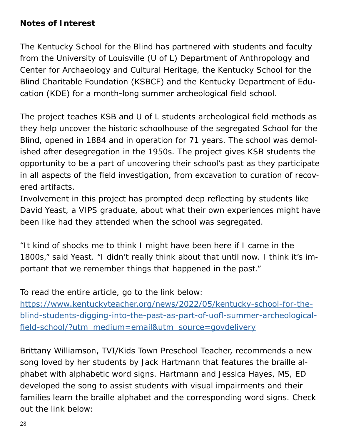### <span id="page-27-0"></span>**Notes of Interest**

The Kentucky School for the Blind has partnered with students and faculty from the University of Louisville (U of L) Department of Anthropology and Center for Archaeology and Cultural Heritage, the Kentucky School for the Blind Charitable Foundation (KSBCF) and the Kentucky Department of Education (KDE) for a month-long summer archeological field school.

The project teaches KSB and U of L students archeological field methods as they help uncover the historic schoolhouse of the segregated School for the Blind, opened in 1884 and in operation for 71 years. The school was demolished after desegregation in the 1950s. The project gives KSB students the opportunity to be a part of uncovering their school's past as they participate in all aspects of the field investigation, from excavation to curation of recovered artifacts.

Involvement in this project has prompted deep reflecting by students like David Yeast, a VIPS graduate, about what their own experiences might have been like had they attended when the school was segregated.

"It kind of shocks me to think I might have been here if I came in the 1800s," said Yeast. "I didn't really think about that until now. I think it's important that we remember things that happened in the past."

To read the entire article, go to the link below:

[https://www.kentuckyteacher.org/news/2022/05/kentucky-school-for-the](https://www.kentuckyteacher.org/news/2022/05/kentucky-school-for-the-blind-students-digging-into-the)[blind-students-digging-into-the-past-as-part-of-uofl-summer-archeological](https://www.kentuckyteacher.org/news/2022/05/kentucky-school-for-the-blind-students-digging-into-the)[field-school/?utm\\_medium=email&utm\\_source=govdelivery](https://www.kentuckyteacher.org/news/2022/05/kentucky-school-for-the-blind-students-digging-into-the)

Brittany Williamson, TVI/Kids Town Preschool Teacher, recommends a new song loved by her students by Jack Hartmann that features the braille alphabet with alphabetic word signs. Hartmann and Jessica Hayes, MS, ED developed the song to assist students with visual impairments and their families learn the braille alphabet and the corresponding word signs. Check out the link below: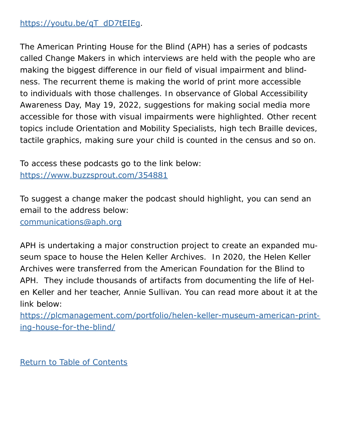## [https://youtu.be/qT\\_dD7tEIEg](https://youtu.be/qT_dD7tEIEg).

The American Printing House for the Blind (APH) has a series of podcasts called Change Makers in which interviews are held with the people who are making the biggest difference in our field of visual impairment and blindness. The recurrent theme is making the world of print more accessible to individuals with those challenges. In observance of Global Accessibility Awareness Day, May 19, 2022, suggestions for making social media more accessible for those with visual impairments were highlighted. Other recent topics include Orientation and Mobility Specialists, high tech Braille devices, tactile graphics, making sure your child is counted in the census and so on.

To access these podcasts go to the link below: https://www.buzzsprout.com/354881

To suggest a change maker the podcast should highlight, you can send an email to the address below:

[communications@aph.org](mailto:communications%40aph.org?subject=)

APH is undertaking a major construction project to create an expanded museum space to house the Helen Keller Archives. In 2020, the Helen Keller Archives were transferred from the American Foundation for the Blind to APH. They include thousands of artifacts from documenting the life of Helen Keller and her teacher, Annie Sullivan. You can read more about it at the link below:

[https://plcmanagement.com/portfolio/helen-keller-museum-american-print](https://plcmanagement.com/portfolio/helen-keller-museum-american-printing-house-for-the-blind/)[ing-house-for-the-blind/](https://plcmanagement.com/portfolio/helen-keller-museum-american-printing-house-for-the-blind/)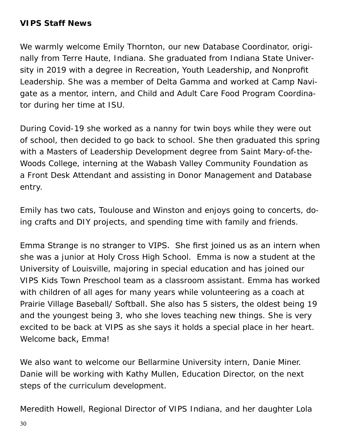### <span id="page-29-0"></span>**VIPS Staff News**

We warmly welcome Emily Thornton, our new Database Coordinator, originally from Terre Haute, Indiana. She graduated from Indiana State University in 2019 with a degree in Recreation, Youth Leadership, and Nonprofit Leadership. She was a member of Delta Gamma and worked at Camp Navigate as a mentor, intern, and Child and Adult Care Food Program Coordinator during her time at ISU.

During Covid-19 she worked as a nanny for twin boys while they were out of school, then decided to go back to school. She then graduated this spring with a Masters of Leadership Development degree from Saint Mary-of-the-Woods College, interning at the Wabash Valley Community Foundation as a Front Desk Attendant and assisting in Donor Management and Database entry.

Emily has two cats, Toulouse and Winston and enjoys going to concerts, doing crafts and DIY projects, and spending time with family and friends.

Emma Strange is no stranger to VIPS. She first joined us as an intern when she was a junior at Holy Cross High School. Emma is now a student at the University of Louisville, majoring in special education and has joined our VIPS Kids Town Preschool team as a classroom assistant. Emma has worked with children of all ages for many years while volunteering as a coach at Prairie Village Baseball/ Softball. She also has 5 sisters, the oldest being 19 and the youngest being 3, who she loves teaching new things. She is very excited to be back at VIPS as she says it holds a special place in her heart. Welcome back, Emma!

We also want to welcome our Bellarmine University intern, Danie Miner. Danie will be working with Kathy Mullen, Education Director, on the next steps of the curriculum development.

Meredith Howell, Regional Director of VIPS Indiana, and her daughter Lola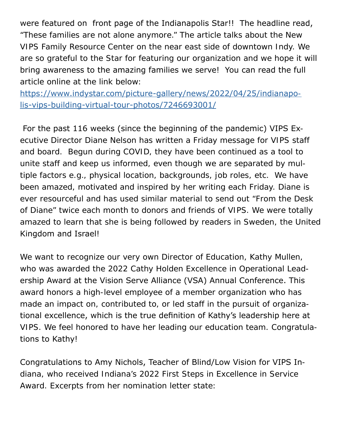were featured on front page of the Indianapolis Star!! The headline read, "These families are not alone anymore." The article talks about the New VIPS Family Resource Center on the near east side of downtown Indy. We are so grateful to the Star for featuring our organization and we hope it will bring awareness to the amazing families we serve! You can read the full article online at the link below:

https://www.indystar.com/picture-gallery/news/2022/04/25/indianapolis-vips-building-virtual-tour-photos/7246693001/

 For the past 116 weeks (since the beginning of the pandemic) VIPS Executive Director Diane Nelson has written a Friday message for VIPS staff and board. Begun during COVID, they have been continued as a tool to unite staff and keep us informed, even though we are separated by multiple factors e.g., physical location, backgrounds, job roles, etc. We have been amazed, motivated and inspired by her writing each Friday. Diane is ever resourceful and has used similar material to send out "From the Desk of Diane" twice each month to donors and friends of VIPS. We were totally amazed to learn that she is being followed by readers in Sweden, the United Kingdom and Israel!

We want to recognize our very own Director of Education, Kathy Mullen, who was awarded the 2022 Cathy Holden Excellence in Operational Leadership Award at the Vision Serve Alliance (VSA) Annual Conference. This award honors a high-level employee of a member organization who has made an impact on, contributed to, or led staff in the pursuit of organizational excellence, which is the true definition of Kathy's leadership here at VIPS. We feel honored to have her leading our education team. Congratulations to Kathy!

Congratulations to Amy Nichols, Teacher of Blind/Low Vision for VIPS Indiana, who received Indiana's 2022 First Steps in Excellence in Service Award. Excerpts from her nomination letter state: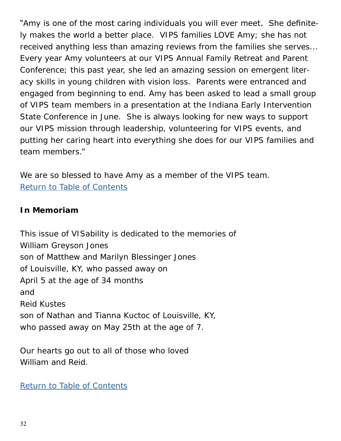"Amy is one of the most caring individuals you will ever meet. She definitely makes the world a better place. VIPS families LOVE Amy; she has not received anything less than amazing reviews from the families she serves... Every year Amy volunteers at our VIPS Annual Family Retreat and Parent Conference; this past year, she led an amazing session on emergent literacy skills in young children with vision loss. Parents were entranced and engaged from beginning to end. Amy has been asked to lead a small group of VIPS team members in a presentation at the Indiana Early Intervention State Conference in June. She is always looking for new ways to support our VIPS mission through leadership, volunteering for VIPS events, and putting her caring heart into everything she does for our VIPS families and team members."

We are so blessed to have Amy as a member of the VIPS team. [Return to Table of Contents](#page-0-1)

### <span id="page-31-0"></span>**In Memoriam**

This issue of VISability is dedicated to the memories of William Greyson Jones son of Matthew and Marilyn Blessinger Jones of Louisville, KY, who passed away on April 5 at the age of 34 months and Reid Kustes son of Nathan and Tianna Kuctoc of Louisville, KY, who passed away on May 25th at the age of 7.

Our hearts go out to all of those who loved William and Reid.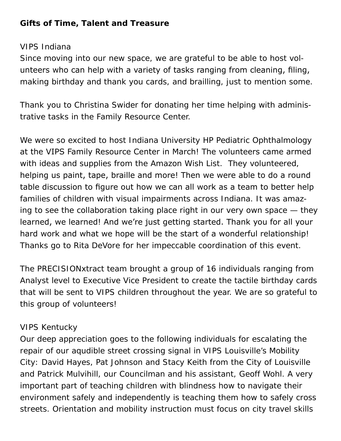### <span id="page-32-0"></span>**Gifts of Time, Talent and Treasure**

#### VIPS Indiana

Since moving into our new space, we are grateful to be able to host volunteers who can help with a variety of tasks ranging from cleaning, filing, making birthday and thank you cards, and brailling, just to mention some.

Thank you to Christina Swider for donating her time helping with administrative tasks in the Family Resource Center.

We were so excited to host Indiana University HP Pediatric Ophthalmology at the VIPS Family Resource Center in March! The volunteers came armed with ideas and supplies from the Amazon Wish List. They volunteered, helping us paint, tape, braille and more! Then we were able to do a round table discussion to figure out how we can all work as a team to better help families of children with visual impairments across Indiana. It was amazing to see the collaboration taking place right in our very own space — they learned, we learned! And we're just getting started. Thank you for all your hard work and what we hope will be the start of a wonderful relationship! Thanks go to Rita DeVore for her impeccable coordination of this event.

The PRECISIONxtract team brought a group of 16 individuals ranging from Analyst level to Executive Vice President to create the tactile birthday cards that will be sent to VIPS children throughout the year. We are so grateful to this group of volunteers!

#### VIPS Kentucky

Our deep appreciation goes to the following individuals for escalating the repair of our aqudible street crossing signal in VIPS Louisville's Mobility City: David Hayes, Pat Johnson and Stacy Keith from the City of Louisville and Patrick Mulvihill, our Councilman and his assistant, Geoff Wohl. A very important part of teaching children with blindness how to navigate their environment safely and independently is teaching them how to safely cross streets. Orientation and mobility instruction must focus on city travel skills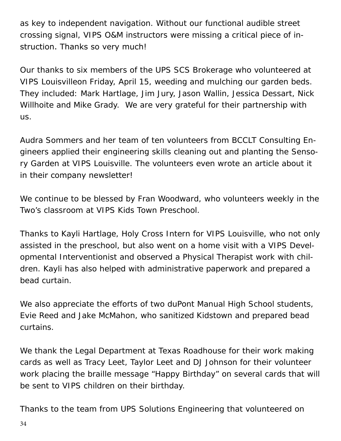as key to independent navigation. Without our functional audible street crossing signal, VIPS O&M instructors were missing a critical piece of instruction. Thanks so very much!

Our thanks to six members of the UPS SCS Brokerage who volunteered at VIPS Louisvilleon Friday, April 15, weeding and mulching our garden beds. They included: Mark Hartlage, Jim Jury, Jason Wallin, Jessica Dessart, Nick Willhoite and Mike Grady. We are very grateful for their partnership with us.

Audra Sommers and her team of ten volunteers from BCCLT Consulting Engineers applied their engineering skills cleaning out and planting the Sensory Garden at VIPS Louisville. The volunteers even wrote an article about it in their company newsletter!

We continue to be blessed by Fran Woodward, who volunteers weekly in the Two's classroom at VIPS Kids Town Preschool.

Thanks to Kayli Hartlage, Holy Cross Intern for VIPS Louisville, who not only assisted in the preschool, but also went on a home visit with a VIPS Developmental Interventionist and observed a Physical Therapist work with children. Kayli has also helped with administrative paperwork and prepared a bead curtain.

We also appreciate the efforts of two duPont Manual High School students, Evie Reed and Jake McMahon, who sanitized Kidstown and prepared bead curtains.

We thank the Legal Department at Texas Roadhouse for their work making cards as well as Tracy Leet, Taylor Leet and DJ Johnson for their volunteer work placing the braille message "Happy Birthday" on several cards that will be sent to VIPS children on their birthday.

Thanks to the team from UPS Solutions Engineering that volunteered on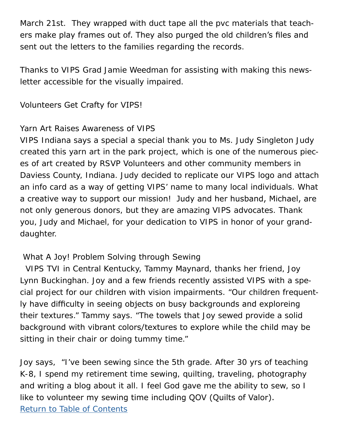March 21st. They wrapped with duct tape all the pvc materials that teachers make play frames out of. They also purged the old children's files and sent out the letters to the families regarding the records.

Thanks to VIPS Grad Jamie Weedman for assisting with making this newsletter accessible for the visually impaired.

Volunteers Get Crafty for VIPS!

## Yarn Art Raises Awareness of VIPS

VIPS Indiana says a special a special thank you to Ms. Judy Singleton Judy created this yarn art in the park project, which is one of the numerous pieces of art created by RSVP Volunteers and other community members in Daviess County, Indiana. Judy decided to replicate our VIPS logo and attach an info card as a way of getting VIPS' name to many local individuals. What a creative way to support our mission! Judy and her husband, Michael, are not only generous donors, but they are amazing VIPS advocates. Thank you, Judy and Michael, for your dedication to VIPS in honor of your granddaughter.

## What A Joy! Problem Solving through Sewing

 VIPS TVI in Central Kentucky, Tammy Maynard, thanks her friend, Joy Lynn Buckinghan. Joy and a few friends recently assisted VIPS with a special project for our children with vision impairments. "Our children frequently have difficulty in seeing objects on busy backgrounds and exploreing their textures." Tammy says. "The towels that Joy sewed provide a solid background with vibrant colors/textures to explore while the child may be sitting in their chair or doing tummy time."

Joy says, "I've been sewing since the 5th grade. After 30 yrs of teaching K-8, I spend my retirement time sewing, quilting, traveling, photography and writing a blog about it all. I feel God gave me the ability to sew, so I like to volunteer my sewing time including QOV (Quilts of Valor). [Return to Table of Contents](#page-0-1)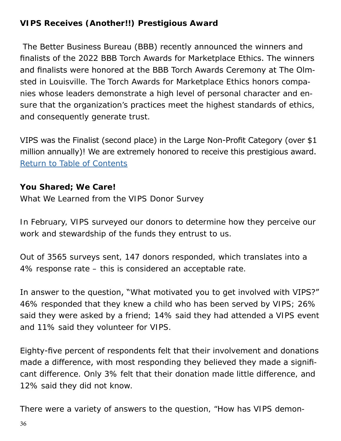## <span id="page-35-0"></span>**VIPS Receives (Another!!) Prestigious Award**

 The Better Business Bureau (BBB) recently announced the winners and finalists of the 2022 BBB Torch Awards for Marketplace Ethics. The winners and finalists were honored at the BBB Torch Awards Ceremony at The Olmsted in Louisville. The Torch Awards for Marketplace Ethics honors companies whose leaders demonstrate a high level of personal character and ensure that the organization's practices meet the highest standards of ethics, and consequently generate trust.

VIPS was the Finalist (second place) in the Large Non-Profit Category (over \$1 million annually)! We are extremely honored to receive this prestigious award. [Return to Table of Contents](#page-0-1)

#### <span id="page-35-1"></span>**You Shared; We Care!**

What We Learned from the VIPS Donor Survey

In February, VIPS surveyed our donors to determine how they perceive our work and stewardship of the funds they entrust to us.

Out of 3565 surveys sent, 147 donors responded, which translates into a 4% response rate – this is considered an acceptable rate.

In answer to the question, "What motivated you to get involved with VIPS?" 46% responded that they knew a child who has been served by VIPS; 26% said they were asked by a friend; 14% said they had attended a VIPS event and 11% said they volunteer for VIPS.

Eighty-five percent of respondents felt that their involvement and donations made a difference, with most responding they believed they made a significant difference. Only 3% felt that their donation made little difference, and 12% said they did not know.

There were a variety of answers to the question, "How has VIPS demon-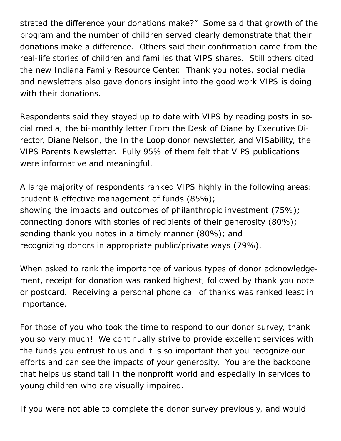strated the difference your donations make?" Some said that growth of the program and the number of children served clearly demonstrate that their donations make a difference. Others said their confirmation came from the real-life stories of children and families that VIPS shares. Still others cited the new Indiana Family Resource Center. Thank you notes, social media and newsletters also gave donors insight into the good work VIPS is doing with their donations.

Respondents said they stayed up to date with VIPS by reading posts in social media, the bi-monthly letter From the Desk of Diane by Executive Director, Diane Nelson, the In the Loop donor newsletter, and VISability, the VIPS Parents Newsletter. Fully 95% of them felt that VIPS publications were informative and meaningful.

A large majority of respondents ranked VIPS highly in the following areas: prudent & effective management of funds (85%); showing the impacts and outcomes of philanthropic investment (75%); connecting donors with stories of recipients of their generosity (80%); sending thank you notes in a timely manner (80%); and recognizing donors in appropriate public/private ways (79%).

When asked to rank the importance of various types of donor acknowledgement, receipt for donation was ranked highest, followed by thank you note or postcard. Receiving a personal phone call of thanks was ranked least in importance.

For those of you who took the time to respond to our donor survey, thank you so very much! We continually strive to provide excellent services with the funds you entrust to us and it is so important that you recognize our efforts and can see the impacts of your generosity. You are the backbone that helps us stand tall in the nonprofit world and especially in services to young children who are visually impaired.

If you were not able to complete the donor survey previously, and would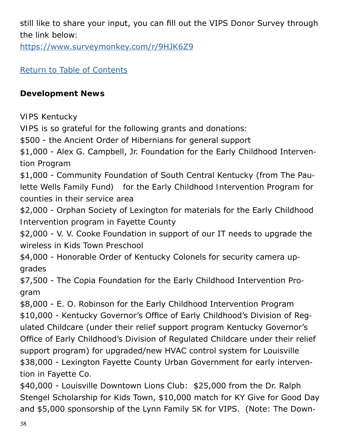still like to share your input, you can fill out the VIPS Donor Survey through the link below:

<https://www.surveymonkey.com/r/9HJK6Z9>

[Return to Table of Contents](#page-0-1)

## <span id="page-37-0"></span>**Development News**

VIPS Kentucky

VIPS is so grateful for the following grants and donations:

\$500 - the Ancient Order of Hibernians for general support

\$1,000 - Alex G. Campbell, Jr. Foundation for the Early Childhood Intervention Program

\$1,000 - Community Foundation of South Central Kentucky (from The Paulette Wells Family Fund) for the Early Childhood Intervention Program for counties in their service area

\$2,000 - Orphan Society of Lexington for materials for the Early Childhood Intervention program in Fayette County

\$2,000 - V. V. Cooke Foundation in support of our IT needs to upgrade the wireless in Kids Town Preschool

\$4,000 - Honorable Order of Kentucky Colonels for security camera upgrades

\$7,500 - The Copia Foundation for the Early Childhood Intervention Program

\$8,000 - E. O. Robinson for the Early Childhood Intervention Program \$10,000 - Kentucky Governor's Office of Early Childhood's Division of Regulated Childcare (under their relief support program Kentucky Governor's Office of Early Childhood's Division of Regulated Childcare under their relief support program) for upgraded/new HVAC control system for Louisville \$38,000 - Lexington Fayette County Urban Government for early intervention in Fayette Co.

\$40,000 - Louisville Downtown Lions Club: \$25,000 from the Dr. Ralph Stengel Scholarship for Kids Town, \$10,000 match for KY Give for Good Day and \$5,000 sponsorship of the Lynn Family 5K for VIPS. (Note: The Down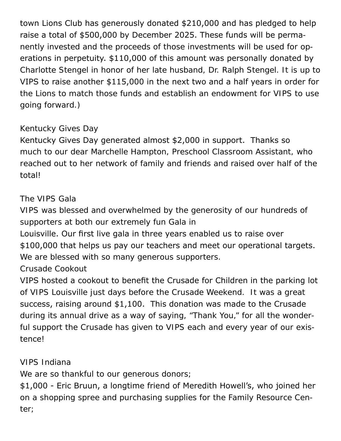town Lions Club has generously donated \$210,000 and has pledged to help raise a total of \$500,000 by December 2025. These funds will be permanently invested and the proceeds of those investments will be used for operations in perpetuity. \$110,000 of this amount was personally donated by Charlotte Stengel in honor of her late husband, Dr. Ralph Stengel. It is up to VIPS to raise another \$115,000 in the next two and a half years in order for the Lions to match those funds and establish an endowment for VIPS to use going forward.)

## Kentucky Gives Day

Kentucky Gives Day generated almost \$2,000 in support. Thanks so much to our dear Marchelle Hampton, Preschool Classroom Assistant, who reached out to her network of family and friends and raised over half of the total!

## The VIPS Gala

VIPS was blessed and overwhelmed by the generosity of our hundreds of supporters at both our extremely fun Gala in

Louisville. Our first live gala in three years enabled us to raise over \$100,000 that helps us pay our teachers and meet our operational targets. We are blessed with so many generous supporters.

## Crusade Cookout

VIPS hosted a cookout to benefit the Crusade for Children in the parking lot of VIPS Louisville just days before the Crusade Weekend. It was a great success, raising around \$1,100. This donation was made to the Crusade during its annual drive as a way of saying, "Thank You," for all the wonderful support the Crusade has given to VIPS each and every year of our existence!

## VIPS Indiana

We are so thankful to our generous donors;

\$1,000 - Eric Bruun, a longtime friend of Meredith Howell's, who joined her on a shopping spree and purchasing supplies for the Family Resource Center;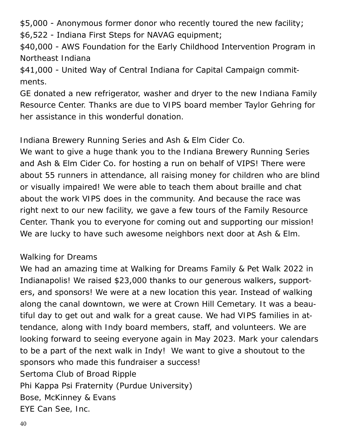\$5,000 - Anonymous former donor who recently toured the new facility;

\$6,522 - Indiana First Steps for NAVAG equipment;

\$40,000 - AWS Foundation for the Early Childhood Intervention Program in Northeast Indiana

\$41,000 - United Way of Central Indiana for Capital Campaign commitments.

GE donated a new refrigerator, washer and dryer to the new Indiana Family Resource Center. Thanks are due to VIPS board member Taylor Gehring for her assistance in this wonderful donation.

Indiana Brewery Running Series and Ash & Elm Cider Co.

We want to give a huge thank you to the Indiana Brewery Running Series and Ash & Elm Cider Co. for hosting a run on behalf of VIPS! There were about 55 runners in attendance, all raising money for children who are blind or visually impaired! We were able to teach them about braille and chat about the work VIPS does in the community. And because the race was right next to our new facility, we gave a few tours of the Family Resource Center. Thank you to everyone for coming out and supporting our mission! We are lucky to have such awesome neighbors next door at Ash & Elm.

### Walking for Dreams

We had an amazing time at Walking for Dreams Family & Pet Walk 2022 in Indianapolis! We raised \$23,000 thanks to our generous walkers, supporters, and sponsors! We were at a new location this year. Instead of walking along the canal downtown, we were at Crown Hill Cemetary. It was a beautiful day to get out and walk for a great cause. We had VIPS families in attendance, along with Indy board members, staff, and volunteers. We are looking forward to seeing everyone again in May 2023. Mark your calendars to be a part of the next walk in Indy! We want to give a shoutout to the sponsors who made this fundraiser a success! Sertoma Club of Broad Ripple Phi Kappa Psi Fraternity (Purdue University) Bose, McKinney & Evans EYE Can See, Inc.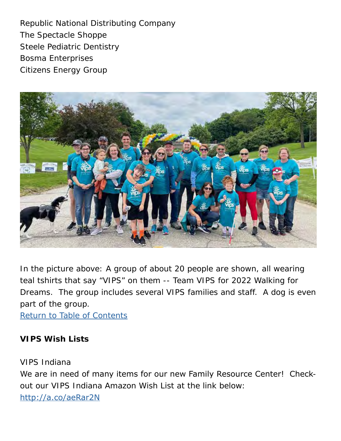Republic National Distributing Company The Spectacle Shoppe Steele Pediatric Dentistry Bosma Enterprises Citizens Energy Group



In the picture above: A group of about 20 people are shown, all wearing teal tshirts that say "VIPS" on them -- Team VIPS for 2022 Walking for Dreams. The group includes several VIPS families and staff. A dog is even part of the group.

[Return to Table of Contents](#page-0-1)

### <span id="page-40-0"></span>**VIPS Wish Lists**

VIPS Indiana We are in need of many items for our new Family Resource Center! Checkout our VIPS Indiana Amazon Wish List at the link below: <http://a.co/aeRar2N>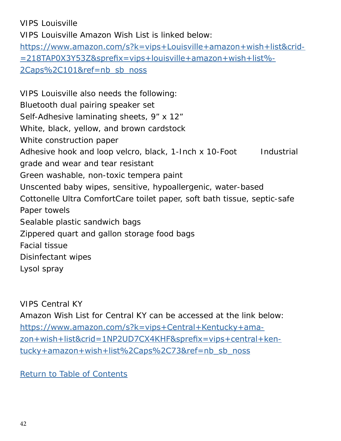VIPS Louisville VIPS Louisville Amazon Wish List is linked below: [https://www.amazon.com/s?k=vips+Louisville+amazon+wish+list&crid](https://www.amazon.com/s?k=vips+Louisville+amazon+wish+list&crid=218TAP0X3Y53Z&sprefix=vips+louisvil)- [=218TAP0X3Y53Z&sprefix=vips+louisville+amazon+wish+list%](https://www.amazon.com/s?k=vips+Louisville+amazon+wish+list&crid=218TAP0X3Y53Z&sprefix=vips+louisvil)- [2Caps%2C101&ref=nb\\_sb\\_noss](https://www.amazon.com/s?k=vips+Louisville+amazon+wish+list&crid=218TAP0X3Y53Z&sprefix=vips+louisvil)

VIPS Louisville also needs the following: Bluetooth dual pairing speaker set Self-Adhesive laminating sheets, 9" x 12" White, black, yellow, and brown cardstock White construction paper Adhesive hook and loop velcro, black, 1-Inch x 10-Foot Industrial grade and wear and tear resistant Green washable, non-toxic tempera paint Unscented baby wipes, sensitive, hypoallergenic, water-based Cottonelle Ultra ComfortCare toilet paper, soft bath tissue, septic-safe Paper towels Sealable plastic sandwich bags Zippered quart and gallon storage food bags Facial tissue Disinfectant wipes Lysol spray

VIPS Central KY

Amazon Wish List for Central KY can be accessed at the link below: [https://www.amazon.com/s?k=vips+Central+Kentucky+ama](https://www.amazon.com/s?k=vips+Central+Kentucky+amazon+wish+list&crid=1NP2UD7CX4KHF&sprefix=vips+ce)[zon+wish+list&crid=1NP2UD7CX4KHF&sprefix=vips+central+ken](https://www.amazon.com/s?k=vips+Central+Kentucky+amazon+wish+list&crid=1NP2UD7CX4KHF&sprefix=vips+ce)[tucky+amazon+wish+list%2Caps%2C73&ref=nb\\_sb\\_noss](https://www.amazon.com/s?k=vips+Central+Kentucky+amazon+wish+list&crid=1NP2UD7CX4KHF&sprefix=vips+ce)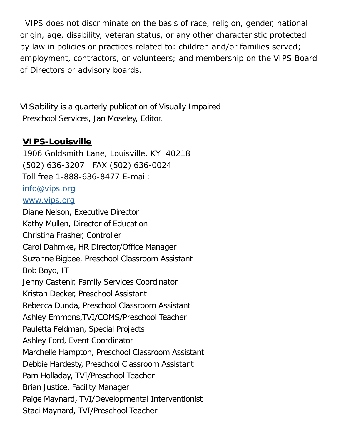VIPS does not discriminate on the basis of race, religion, gender, national origin, age, disability, veteran status, or any other characteristic protected by law in policies or practices related to: children and/or families served; employment, contractors, or volunteers; and membership on the VIPS Board of Directors or advisory boards.

VISability is a quarterly publication of Visually Impaired Preschool Services, Jan Moseley, Editor.

## <span id="page-42-0"></span>**VIPS-Louisville**

1906 Goldsmith Lane, Louisville, KY 40218 (502) 636-3207 FAX (502) 636-0024 Toll free 1-888-636-8477 E-mail: [info@vips.org](mailto:info%40vips.org?subject=) [www.vips.org](http://www.vips.org) Diane Nelson, Executive Director Kathy Mullen, Director of Education Christina Frasher, Controller Carol Dahmke, HR Director/Office Manager Suzanne Bigbee, Preschool Classroom Assistant Bob Boyd, IT Jenny Castenir, Family Services Coordinator Kristan Decker, Preschool Assistant Rebecca Dunda, Preschool Classroom Assistant Ashley Emmons,TVI/COMS/Preschool Teacher Pauletta Feldman, Special Projects Ashley Ford, Event Coordinator Marchelle Hampton, Preschool Classroom Assistant Debbie Hardesty, Preschool Classroom Assistant Pam Holladay, TVI/Preschool Teacher Brian Justice, Facility Manager Paige Maynard, TVI/Developmental Interventionist Staci Maynard, TVI/Preschool Teacher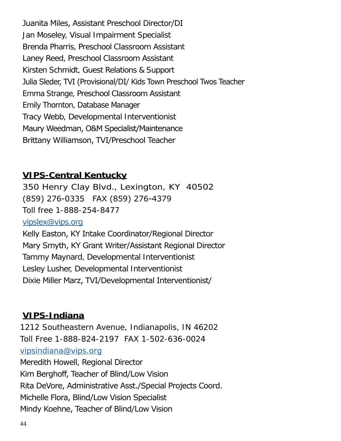Juanita Miles, Assistant Preschool Director/DI Jan Moseley, Visual Impairment Specialist Brenda Pharris, Preschool Classroom Assistant Laney Reed, Preschool Classroom Assistant Kirsten Schmidt, Guest Relations & Support Julia Sleder, TVI (Provisional/DI/ Kids Town Preschool Twos Teacher Emma Strange, Preschool Classroom Assistant Emily Thornton, Database Manager Tracy Webb, Developmental Interventionist Maury Weedman, O&M Specialist/Maintenance Brittany Williamson, TVI/Preschool Teacher

## **VIPS-Central Kentucky**

350 Henry Clay Blvd., Lexington, KY 40502 (859) 276-0335 FAX (859) 276-4379 Toll free 1-888-254-8477 [vipslex@vips.org](mailto:vipslex%40vips.org?subject=) Kelly Easton, KY Intake Coordinator/Regional Director Mary Smyth, KY Grant Writer/Assistant Regional Director Tammy Maynard, Developmental Interventionist Lesley Lusher, Developmental Interventionist

Dixie Miller Marz, TVI/Developmental Interventionist/

## **VIPS-Indiana**

1212 Southeastern Avenue, Indianapolis, IN 46202 Toll Free 1-888-824-2197 FAX 1-502-636-0024 [vipsindiana@vips.org](mailto:vipsindiana%40vips.org?subject=) Meredith Howell, Regional Director Kim Berghoff, Teacher of Blind/Low Vision Rita DeVore, Administrative Asst./Special Projects Coord. Michelle Flora, Blind/Low Vision Specialist Mindy Koehne, Teacher of Blind/Low Vision